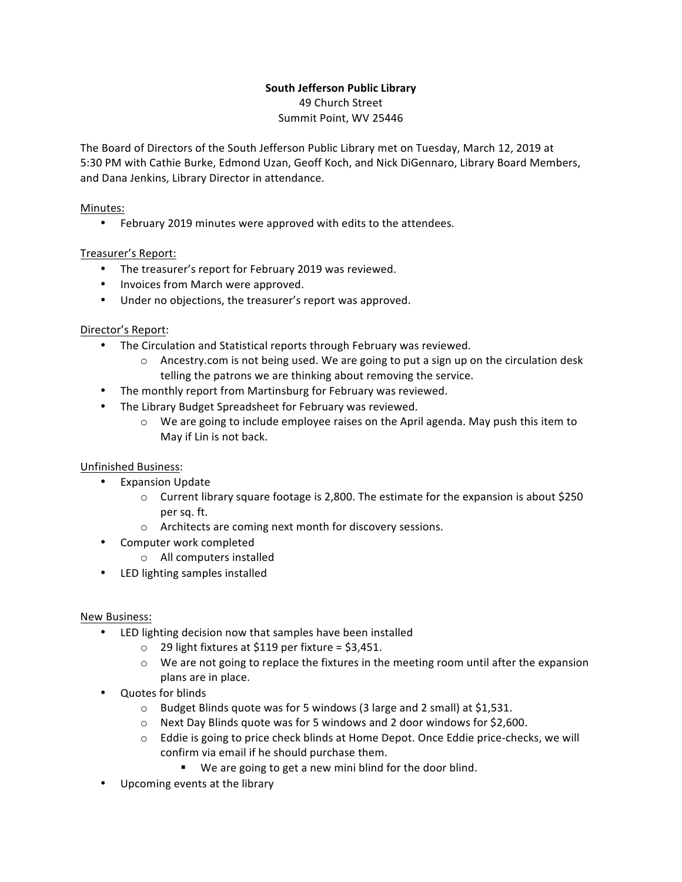# **South Jefferson Public Library**

49 Church Street Summit Point, WV 25446

The Board of Directors of the South Jefferson Public Library met on Tuesday, March 12, 2019 at 5:30 PM with Cathie Burke, Edmond Uzan, Geoff Koch, and Nick DiGennaro, Library Board Members, and Dana Jenkins, Library Director in attendance.

### Minutes:

• February 2019 minutes were approved with edits to the attendees.

## Treasurer's Report:

- The treasurer's report for February 2019 was reviewed.
- Invoices from March were approved.
- Under no objections, the treasurer's report was approved.

#### Director's Report:

- The Circulation and Statistical reports through February was reviewed.
	- $\circ$  Ancestry.com is not being used. We are going to put a sign up on the circulation desk telling the patrons we are thinking about removing the service.
- The monthly report from Martinsburg for February was reviewed.
- The Library Budget Spreadsheet for February was reviewed.
	- $\circ$  We are going to include employee raises on the April agenda. May push this item to May if Lin is not back.

## Unfinished Business:

- Expansion Update
	- $\circ$  Current library square footage is 2,800. The estimate for the expansion is about \$250 per sq. ft.
	- $\circ$  Architects are coming next month for discovery sessions.
- Computer work completed
	- o All computers installed
- LED lighting samples installed

#### New Business:

- LED lighting decision now that samples have been installed
	- $\circ$  29 light fixtures at \$119 per fixture = \$3,451.
	- $\circ$  We are not going to replace the fixtures in the meeting room until after the expansion plans are in place.
- Quotes for blinds
	- $\circ$  Budget Blinds quote was for 5 windows (3 large and 2 small) at \$1,531.
	- $\circ$  Next Day Blinds quote was for 5 windows and 2 door windows for \$2,600.
	- $\circ$  Eddie is going to price check blinds at Home Depot. Once Eddie price-checks, we will confirm via email if he should purchase them.
		- We are going to get a new mini blind for the door blind.
- Upcoming events at the library